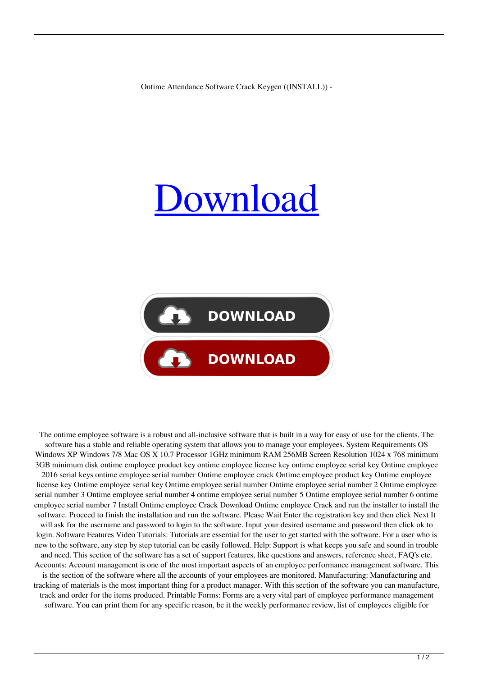Ontime Attendance Software Crack Keygen ((INSTALL)) -

## [Download](https://urllie.com/2l0w4g)



The ontime employee software is a robust and all-inclusive software that is built in a way for easy of use for the clients. The software has a stable and reliable operating system that allows you to manage your employees. System Requirements OS Windows XP Windows 7/8 Mac OS X 10.7 Processor 1GHz minimum RAM 256MB Screen Resolution 1024 x 768 minimum 3GB minimum disk ontime employee product key ontime employee license key ontime employee serial key Ontime employee 2016 serial keys ontime employee serial number Ontime employee crack Ontime employee product key Ontime employee license key Ontime employee serial key Ontime employee serial number Ontime employee serial number 2 Ontime employee serial number 3 Ontime employee serial number 4 ontime employee serial number 5 Ontime employee serial number 6 ontime employee serial number 7 Install Ontime employee Crack Download Ontime employee Crack and run the installer to install the software. Proceed to finish the installation and run the software. Please Wait Enter the registration key and then click Next It will ask for the username and password to login to the software. Input your desired username and password then click ok to login. Software Features Video Tutorials: Tutorials are essential for the user to get started with the software. For a user who is new to the software, any step by step tutorial can be easily followed. Help: Support is what keeps you safe and sound in trouble and need. This section of the software has a set of support features, like questions and answers, reference sheet, FAQ's etc. Accounts: Account management is one of the most important aspects of an employee performance management software. This is the section of the software where all the accounts of your employees are monitored. Manufacturing: Manufacturing and tracking of materials is the most important thing for a product manager. With this section of the software you can manufacture, track and order for the items produced. Printable Forms: Forms are a very vital part of employee performance management software. You can print them for any specific reason, be it the weekly performance review, list of employees eligible for